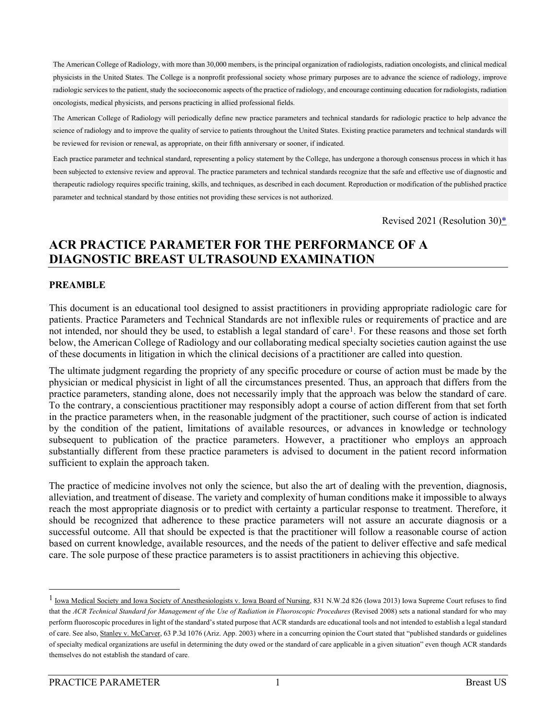The American College of Radiology, with more than 30,000 members, is the principal organization of radiologists, radiation oncologists, and clinical medical physicists in the United States. The College is a nonprofit professional society whose primary purposes are to advance the science of radiology, improve radiologic services to the patient, study the socioeconomic aspects of the practice of radiology, and encourage continuing education for radiologists, radiation oncologists, medical physicists, and persons practicing in allied professional fields.

The American College of Radiology will periodically define new practice parameters and technical standards for radiologic practice to help advance the science of radiology and to improve the quality of service to patients throughout the United States. Existing practice parameters and technical standards will be reviewed for revision or renewal, as appropriate, on their fifth anniversary or sooner, if indicated.

Each practice parameter and technical standard, representing a policy statement by the College, has undergone a thorough consensus process in which it has been subjected to extensive review and approval. The practice parameters and technical standards recognize that the safe and effective use of diagnostic and therapeutic radiology requires specific training, skills, and techniques, as described in each document. Reproduction or modification of the published practice parameter and technical standard by those entities not providing these services is not authorized.

Revised 2021 (Resolution 30[\)\\*](#page-7-0)

# **ACR PRACTICE PARAMETER FOR THE PERFORMANCE OF A DIAGNOSTIC BREAST ULTRASOUND EXAMINATION**

#### **PREAMBLE**

This document is an educational tool designed to assist practitioners in providing appropriate radiologic care for patients. Practice Parameters and Technical Standards are not inflexible rules or requirements of practice and are not intended, nor should they be used, to establish a legal standard of care<sup>[1](#page-0-0)</sup>. For these reasons and those set forth below, the American College of Radiology and our collaborating medical specialty societies caution against the use of these documents in litigation in which the clinical decisions of a practitioner are called into question.

The ultimate judgment regarding the propriety of any specific procedure or course of action must be made by the physician or medical physicist in light of all the circumstances presented. Thus, an approach that differs from the practice parameters, standing alone, does not necessarily imply that the approach was below the standard of care. To the contrary, a conscientious practitioner may responsibly adopt a course of action different from that set forth in the practice parameters when, in the reasonable judgment of the practitioner, such course of action is indicated by the condition of the patient, limitations of available resources, or advances in knowledge or technology subsequent to publication of the practice parameters. However, a practitioner who employs an approach substantially different from these practice parameters is advised to document in the patient record information sufficient to explain the approach taken.

The practice of medicine involves not only the science, but also the art of dealing with the prevention, diagnosis, alleviation, and treatment of disease. The variety and complexity of human conditions make it impossible to always reach the most appropriate diagnosis or to predict with certainty a particular response to treatment. Therefore, it should be recognized that adherence to these practice parameters will not assure an accurate diagnosis or a successful outcome. All that should be expected is that the practitioner will follow a reasonable course of action based on current knowledge, available resources, and the needs of the patient to deliver effective and safe medical care. The sole purpose of these practice parameters is to assist practitioners in achieving this objective.

<span id="page-0-0"></span><sup>&</sup>lt;sup>1</sup> Iowa Medical Society and Iowa Society of Anesthesiologists v. Iowa Board of Nursing, 831 N.W.2d 826 (Iowa 2013) Iowa Supreme Court refuses to find that the *ACR Technical Standard for Management of the Use of Radiation in Fluoroscopic Procedures* (Revised 2008) sets a national standard for who may perform fluoroscopic procedures in light of the standard's stated purpose that ACR standards are educational tools and not intended to establish a legal standard of care. See also, Stanley v. McCarver, 63 P.3d 1076 (Ariz. App. 2003) where in a concurring opinion the Court stated that "published standards or guidelines of specialty medical organizations are useful in determining the duty owed or the standard of care applicable in a given situation" even though ACR standards themselves do not establish the standard of care.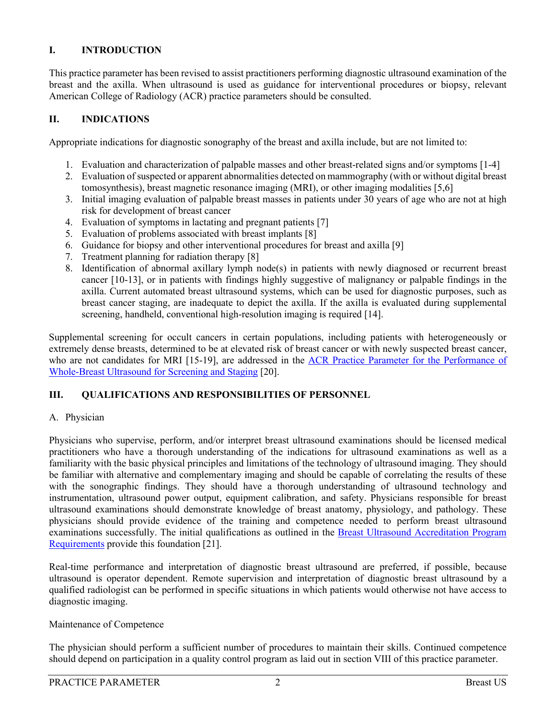## **I. INTRODUCTION**

This practice parameter has been revised to assist practitioners performing diagnostic ultrasound examination of the breast and the axilla. When ultrasound is used as guidance for interventional procedures or biopsy, relevant American College of Radiology (ACR) practice parameters should be consulted.

#### **II. INDICATIONS**

Appropriate indications for diagnostic sonography of the breast and axilla include, but are not limited to:

- 1. Evaluation and characterization of palpable masses and other breast-related signs and/or symptoms [\[1-4\]](#page-6-0)
- 2. Evaluation of suspected or apparent abnormalities detected on mammography (with or without digital breast tomosynthesis), breast magnetic resonance imaging (MRI), or other imaging modalities [\[5](#page-6-1)[,6\]](#page-6-2)
- 3. Initial imaging evaluation of palpable breast masses in patients under 30 years of age who are not at high risk for development of breast cancer
- 4. Evaluation of symptoms in lactating and pregnant patients [\[7\]](#page-6-3)
- 5. Evaluation of problems associated with breast implants [\[8\]](#page-6-4)
- 6. Guidance for biopsy and other interventional procedures for breast and axilla [\[9\]](#page-6-5)
- 7. Treatment planning for radiation therapy [\[8\]](#page-6-4)
- 8. Identification of abnormal axillary lymph node(s) in patients with newly diagnosed or recurrent breast cancer [\[10-13\]](#page-6-6), or in patients with findings highly suggestive of malignancy or palpable findings in the axilla. Current automated breast ultrasound systems, which can be used for diagnostic purposes, such as breast cancer staging, are inadequate to depict the axilla. If the axilla is evaluated during supplemental screening, handheld, conventional high-resolution imaging is required [\[14\]](#page-6-7).

Supplemental screening for occult cancers in certain populations, including patients with heterogeneously or extremely dense breasts, determined to be at elevated risk of breast cancer or with newly suspected breast cancer, who are not candidates for MRI [\[15-19\]](#page-6-8), are addressed in the ACR Practice Parameter for the Performance of [Whole-Breast Ultrasound for Screening and Staging](https://www.acr.org/-/media/ACR/Files/Practice-Parameters/USWholeBreast.pdf?la=en) [\[20\]](#page-6-9).

#### **III. QUALIFICATIONS AND RESPONSIBILITIES OF PERSONNEL**

#### A. Physician

Physicians who supervise, perform, and/or interpret breast ultrasound examinations should be licensed medical practitioners who have a thorough understanding of the indications for ultrasound examinations as well as a familiarity with the basic physical principles and limitations of the technology of ultrasound imaging. They should be familiar with alternative and complementary imaging and should be capable of correlating the results of these with the sonographic findings. They should have a thorough understanding of ultrasound technology and instrumentation, ultrasound power output, equipment calibration, and safety. Physicians responsible for breast ultrasound examinations should demonstrate knowledge of breast anatomy, physiology, and pathology. These physicians should provide evidence of the training and competence needed to perform breast ultrasound examinations successfully. The initial qualifications as outlined in the [Breast Ultrasound Accreditation Program](https://www.acraccreditation.org/Modalities/Breast-Ultrasound)  [Requirements](https://www.acraccreditation.org/Modalities/Breast-Ultrasound) provide this foundation [\[21\]](#page-6-10).

Real-time performance and interpretation of diagnostic breast ultrasound are preferred, if possible, because ultrasound is operator dependent. Remote supervision and interpretation of diagnostic breast ultrasound by a qualified radiologist can be performed in specific situations in which patients would otherwise not have access to diagnostic imaging.

#### Maintenance of Competence

The physician should perform a sufficient number of procedures to maintain their skills. Continued competence should depend on participation in a quality control program as laid out in section VIII of this practice parameter.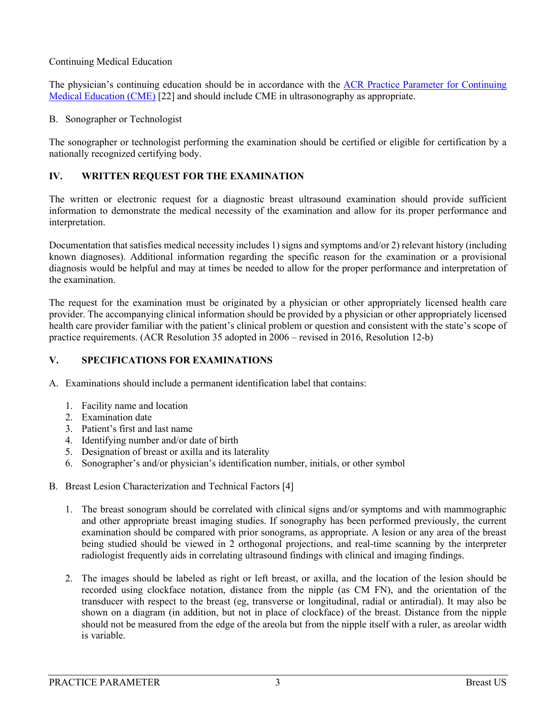#### Continuing Medical Education

The physician's continuing education should be in accordance with the ACR Practice Parameter for Continuing [Medical Education \(CME\)](https://www.acr.org/-/media/ACR/Files/Practice-Parameters/CME.pdf?la=en) [\[22\]](#page-6-11) and should include CME in ultrasonography as appropriate.

#### B. Sonographer or Technologist

The sonographer or technologist performing the examination should be certified or eligible for certification by a nationally recognized certifying body.

## **IV. WRITTEN REQUEST FOR THE EXAMINATION**

The written or electronic request for a diagnostic breast ultrasound examination should provide sufficient information to demonstrate the medical necessity of the examination and allow for its proper performance and interpretation.

Documentation that satisfies medical necessity includes 1) signs and symptoms and/or 2) relevant history (including known diagnoses). Additional information regarding the specific reason for the examination or a provisional diagnosis would be helpful and may at times be needed to allow for the proper performance and interpretation of the examination.

The request for the examination must be originated by a physician or other appropriately licensed health care provider. The accompanying clinical information should be provided by a physician or other appropriately licensed health care provider familiar with the patient's clinical problem or question and consistent with the state's scope of practice requirements. (ACR Resolution 35 adopted in 2006 – revised in 2016, Resolution 12-b)

## **V. SPECIFICATIONS FOR EXAMINATIONS**

A. Examinations should include a permanent identification label that contains:

- 1. Facility name and location
- 2. Examination date
- 3. Patient's first and last name
- 4. Identifying number and/or date of birth
- 5. Designation of breast or axilla and its laterality
- 6. Sonographer's and/or physician's identification number, initials, or other symbol
- B. Breast Lesion Characterization and Technical Factors [\[4\]](#page-6-12)
	- 1. The breast sonogram should be correlated with clinical signs and/or symptoms and with mammographic and other appropriate breast imaging studies. If sonography has been performed previously, the current examination should be compared with prior sonograms, as appropriate. A lesion or any area of the breast being studied should be viewed in 2 orthogonal projections, and real-time scanning by the interpreter radiologist frequently aids in correlating ultrasound findings with clinical and imaging findings.
	- 2. The images should be labeled as right or left breast, or axilla, and the location of the lesion should be recorded using clockface notation, distance from the nipple (as CM FN), and the orientation of the transducer with respect to the breast (eg, transverse or longitudinal, radial or antiradial). It may also be shown on a diagram (in addition, but not in place of clockface) of the breast. Distance from the nipple should not be measured from the edge of the areola but from the nipple itself with a ruler, as areolar width is variable.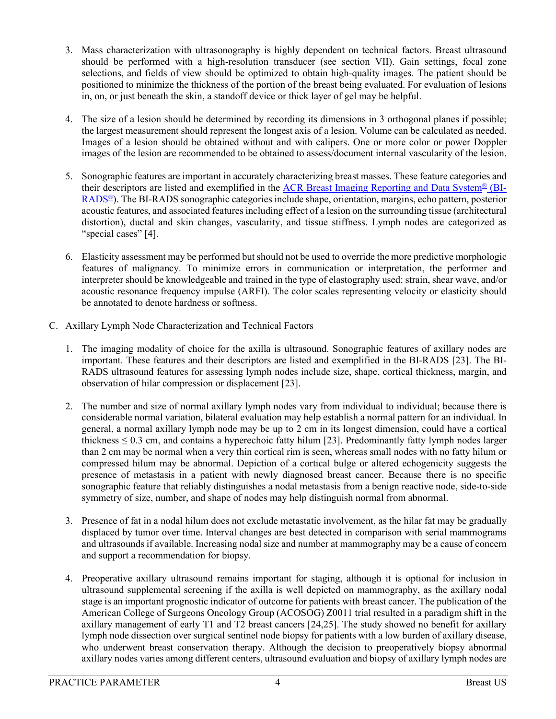- 3. Mass characterization with ultrasonography is highly dependent on technical factors. Breast ultrasound should be performed with a high-resolution transducer (see section VII). Gain settings, focal zone selections, and fields of view should be optimized to obtain high-quality images. The patient should be positioned to minimize the thickness of the portion of the breast being evaluated. For evaluation of lesions in, on, or just beneath the skin, a standoff device or thick layer of gel may be helpful.
- 4. The size of a lesion should be determined by recording its dimensions in 3 orthogonal planes if possible; the largest measurement should represent the longest axis of a lesion. Volume can be calculated as needed. Images of a lesion should be obtained without and with calipers. One or more color or power Doppler images of the lesion are recommended to be obtained to assess/document internal vascularity of the lesion.
- 5. Sonographic features are important in accurately characterizing breast masses. These feature categories and their descriptors are listed and exemplified in the ACR Breast Imaging Reporting and Data System<sup>®</sup> (B[I-](http://www.acr.org/Quality-Safety/Resources/BIRADS)[RADS®\)](http://www.acr.org/Quality-Safety/Resources/BIRADS). The BI-RADS sonographic categories include shape, orientation, margins, echo pattern, posterior acoustic features, and associated features including effect of a lesion on the surrounding tissue (architectural distortion), ductal and skin changes, vascularity, and tissue stiffness. Lymph nodes are categorized as "special cases" [\[4\]](#page-6-12).
- 6. Elasticity assessment may be performed but should not be used to override the more predictive morphologic features of malignancy. To minimize errors in communication or interpretation, the performer and interpreter should be knowledgeable and trained in the type of elastography used: strain, shear wave, and/or acoustic resonance frequency impulse (ARFI). The color scales representing velocity or elasticity should be annotated to denote hardness or softness.
- C. Axillary Lymph Node Characterization and Technical Factors
	- 1. The imaging modality of choice for the axilla is ultrasound. Sonographic features of axillary nodes are important. These features and their descriptors are listed and exemplified in the BI-RADS [\[23\]](#page-6-13). The BI-RADS ultrasound features for assessing lymph nodes include size, shape, cortical thickness, margin, and observation of hilar compression or displacement [\[23\]](#page-6-13).
	- 2. The number and size of normal axillary lymph nodes vary from individual to individual; because there is considerable normal variation, bilateral evaluation may help establish a normal pattern for an individual. In general, a normal axillary lymph node may be up to 2 cm in its longest dimension, could have a cortical thickness ≤ 0.3 cm, and contains a hyperechoic fatty hilum [\[23\]](#page-6-13). Predominantly fatty lymph nodes larger than 2 cm may be normal when a very thin cortical rim is seen, whereas small nodes with no fatty hilum or compressed hilum may be abnormal. Depiction of a cortical bulge or altered echogenicity suggests the presence of metastasis in a patient with newly diagnosed breast cancer. Because there is no specific sonographic feature that reliably distinguishes a nodal metastasis from a benign reactive node, side-to-side symmetry of size, number, and shape of nodes may help distinguish normal from abnormal.
	- 3. Presence of fat in a nodal hilum does not exclude metastatic involvement, as the hilar fat may be gradually displaced by tumor over time. Interval changes are best detected in comparison with serial mammograms and ultrasounds if available. Increasing nodal size and number at mammography may be a cause of concern and support a recommendation for biopsy.
	- 4. Preoperative axillary ultrasound remains important for staging, although it is optional for inclusion in ultrasound supplemental screening if the axilla is well depicted on mammography, as the axillary nodal stage is an important prognostic indicator of outcome for patients with breast cancer. The publication of the American College of Surgeons Oncology Group (ACOSOG) Z0011 trial resulted in a paradigm shift in the axillary management of early T1 and T2 breast cancers [\[24,](#page-6-14)[25\]](#page-7-1). The study showed no benefit for axillary lymph node dissection over surgical sentinel node biopsy for patients with a low burden of axillary disease, who underwent breast conservation therapy. Although the decision to preoperatively biopsy abnormal axillary nodes varies among different centers, ultrasound evaluation and biopsy of axillary lymph nodes are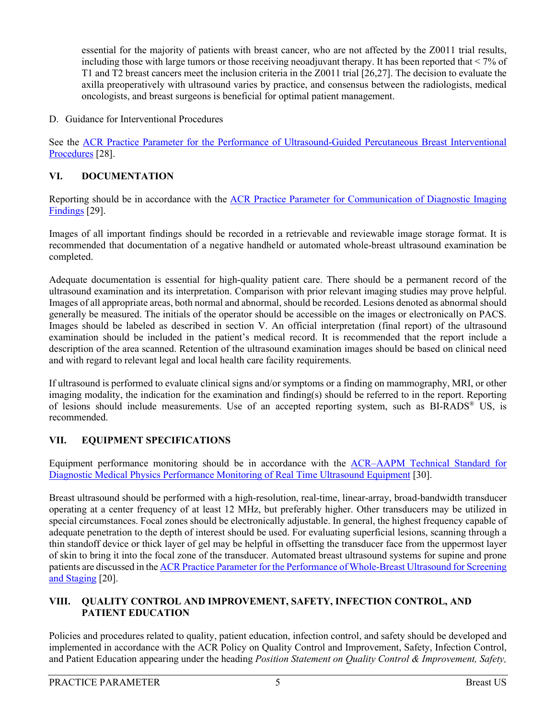essential for the majority of patients with breast cancer, who are not affected by the Z0011 trial results, including those with large tumors or those receiving neoadjuvant therapy. It has been reported that < 7% of T1 and T2 breast cancers meet the inclusion criteria in the Z0011 trial [\[26](#page-7-2)[,27\]](#page-7-3). The decision to evaluate the axilla preoperatively with ultrasound varies by practice, and consensus between the radiologists, medical oncologists, and breast surgeons is beneficial for optimal patient management.

D. Guidance for Interventional Procedures

See the [ACR Practice Parameter for the Performance of Ultrasound-Guided Percutaneous Breast Interventional](https://www.acr.org/-/media/ACR/Files/Practice-Parameters/US-GuidedBreast.pdf?la=en)  [Procedures](https://www.acr.org/-/media/ACR/Files/Practice-Parameters/US-GuidedBreast.pdf?la=en) [\[28\]](#page-7-4).

## **VI. DOCUMENTATION**

Reporting should be in accordance with the ACR Practice Parameter for Communication of Diagnostic Imaging [Findings](https://www.acr.org/-/media/ACR/Files/Practice-Parameters/CommunicationDiag.pdf?la=en) [\[29\]](#page-7-5).

Images of all important findings should be recorded in a retrievable and reviewable image storage format. It is recommended that documentation of a negative handheld or automated whole-breast ultrasound examination be completed.

Adequate documentation is essential for high-quality patient care. There should be a permanent record of the ultrasound examination and its interpretation. Comparison with prior relevant imaging studies may prove helpful. Images of all appropriate areas, both normal and abnormal, should be recorded. Lesions denoted as abnormal should generally be measured. The initials of the operator should be accessible on the images or electronically on PACS. Images should be labeled as described in section V. An official interpretation (final report) of the ultrasound examination should be included in the patient's medical record. It is recommended that the report include a description of the area scanned. Retention of the ultrasound examination images should be based on clinical need and with regard to relevant legal and local health care facility requirements.

If ultrasound is performed to evaluate clinical signs and/or symptoms or a finding on mammography, MRI, or other imaging modality, the indication for the examination and finding(s) should be referred to in the report. Reporting of lesions should include measurements. Use of an accepted reporting system, such as BI-RADS® US, is recommended.

# **VII. EQUIPMENT SPECIFICATIONS**

Equipment performance monitoring should be in accordance with the [ACR–AAPM Technical Standard for](https://www.acr.org/-/media/ACR/Files/Practice-Parameters/US-Equip.pdf?la=en)  [Diagnostic Medical Physics Performance Monitoring of Real Time Ultrasound Equipment](https://www.acr.org/-/media/ACR/Files/Practice-Parameters/US-Equip.pdf?la=en) [\[30\]](#page-7-6).

Breast ultrasound should be performed with a high-resolution, real-time, linear-array, broad-bandwidth transducer operating at a center frequency of at least 12 MHz, but preferably higher. Other transducers may be utilized in special circumstances. Focal zones should be electronically adjustable. In general, the highest frequency capable of adequate penetration to the depth of interest should be used. For evaluating superficial lesions, scanning through a thin standoff device or thick layer of gel may be helpful in offsetting the transducer face from the uppermost layer of skin to bring it into the focal zone of the transducer. Automated breast ultrasound systems for supine and prone patients are discussed in th[e ACR Practice Parameter for the Performance of Whole-Breast Ultrasound for Screening](https://www.acr.org/-/media/ACR/Files/Practice-Parameters/USWholeBreast.pdf?la=en)  [and Staging](https://www.acr.org/-/media/ACR/Files/Practice-Parameters/USWholeBreast.pdf?la=en) [\[20\]](#page-6-9).

#### **VIII. QUALITY CONTROL AND IMPROVEMENT, SAFETY, INFECTION CONTROL, AND PATIENT EDUCATION**

Policies and procedures related to quality, patient education, infection control, and safety should be developed and implemented in accordance with the ACR Policy on Quality Control and Improvement, Safety, Infection Control, and Patient Education appearing under the heading *Position Statement on Quality Control & Improvement, Safety,*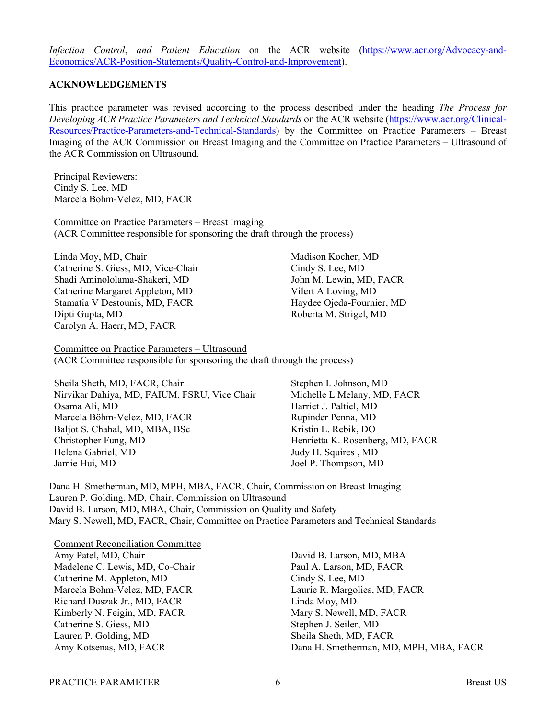*Infection Control*, *and Patient Education* on the ACR website (https://www.acr.org/Advocacy-and-Economics/ACR-Position-Statements/Quality-Control-and-Improvement).

#### **ACKNOWLEDGEMENTS**

This practice parameter was revised according to the process described under the heading *The Process for Developing ACR Practice Parameters and Technical Standards* on the ACR website (https://www.acr.org/Clinical-Resources/Practice-Parameters-and-Technical-Standards) by the Committee on Practice Parameters – Breast Imaging of the ACR Commission on Breast Imaging and the Committee on Practice Parameters – Ultrasound of the ACR Commission on Ultrasound.

Principal Reviewers: Cindy S. Lee, MD Marcela Bohm-Velez, MD, FACR

Committee on Practice Parameters – Breast Imaging (ACR Committee responsible for sponsoring the draft through the process)

Linda Moy, MD, Chair Madison Kocher, MD Catherine S. Giess, MD, Vice-Chair Cindy S. Lee, MD Shadi Aminololama-Shakeri, MD John M. Lewin, MD, FACR Catherine Margaret Appleton, MD Vilert A Loving, MD Stamatia V Destounis, MD, FACR Haydee Ojeda-Fournier, MD Dipti Gupta, MD Roberta M. Strigel, MD Carolyn A. Haerr, MD, FACR

Committee on Practice Parameters – Ultrasound (ACR Committee responsible for sponsoring the draft through the process)

Sheila Sheth, MD, FACR, Chair Stephen I. Johnson, MD Nirvikar Dahiya, MD, FAIUM, FSRU, Vice Chair Michelle L Melany, MD, FACR Osama Ali, MD Harriet J. Paltiel, MD Marcela Böhm-Velez, MD, FACR Rupinder Penna, MD Baljot S. Chahal, MD, MBA, BSc Kristin L. Rebik, DO Christopher Fung, MD Henrietta K. Rosenberg, MD, FACR Helena Gabriel, MD Judy H. Squires , MD Jamie Hui, MD Joel P. Thompson, MD

Dana H. Smetherman, MD, MPH, MBA, FACR, Chair, Commission on Breast Imaging Lauren P. Golding, MD, Chair, Commission on Ultrasound David B. Larson, MD, MBA, Chair, Commission on Quality and Safety Mary S. Newell, MD, FACR, Chair, Committee on Practice Parameters and Technical Standards

**Comment Reconciliation Committee**<br>Amy Patel, MD, Chair Madelene C. Lewis, MD, Co-Chair Paul A. Larson, MD, FACR Catherine M. Appleton, MD Cindy S. Lee, MD Marcela Bohm-Velez, MD, FACR Laurie R. Margolies, MD, FACR Richard Duszak Jr., MD, FACR Linda Moy, MD Kimberly N. Feigin, MD, FACR Catherine S. Giess, MD Stephen J. Seiler, MD Lauren P. Golding, MD Sheila Sheth, MD, FACR

David B. Larson, MD, MBA Amy Kotsenas, MD, FACR Dana H. Smetherman, MD, MPH, MBA, FACR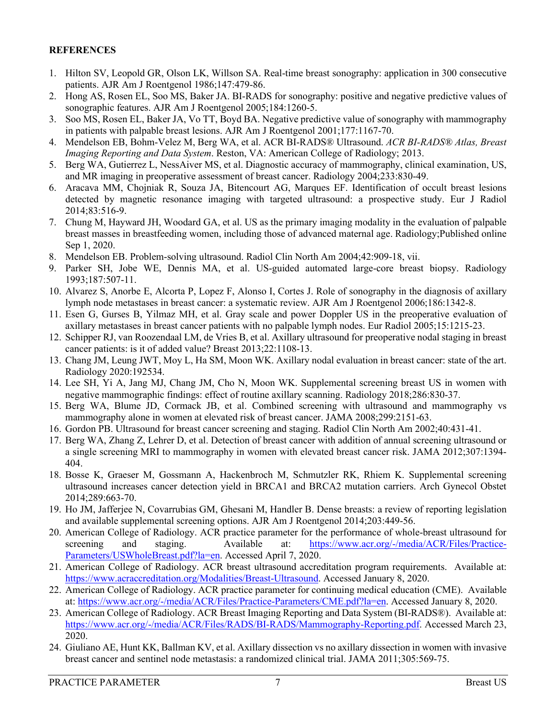#### **REFERENCES**

- <span id="page-6-0"></span>1. Hilton SV, Leopold GR, Olson LK, Willson SA. Real-time breast sonography: application in 300 consecutive patients. AJR Am J Roentgenol 1986;147:479-86.
- 2. Hong AS, Rosen EL, Soo MS, Baker JA. BI-RADS for sonography: positive and negative predictive values of sonographic features. AJR Am J Roentgenol 2005;184:1260-5.
- 3. Soo MS, Rosen EL, Baker JA, Vo TT, Boyd BA. Negative predictive value of sonography with mammography in patients with palpable breast lesions. AJR Am J Roentgenol 2001;177:1167-70.
- <span id="page-6-12"></span>4. Mendelson EB, Bohm-Velez M, Berg WA, et al. ACR BI-RADS® Ultrasound. *ACR BI-RADS® Atlas, Breast Imaging Reporting and Data System*. Reston, VA: American College of Radiology; 2013.
- <span id="page-6-1"></span>5. Berg WA, Gutierrez L, NessAiver MS, et al. Diagnostic accuracy of mammography, clinical examination, US, and MR imaging in preoperative assessment of breast cancer. Radiology 2004;233:830-49.
- <span id="page-6-2"></span>6. Aracava MM, Chojniak R, Souza JA, Bitencourt AG, Marques EF. Identification of occult breast lesions detected by magnetic resonance imaging with targeted ultrasound: a prospective study. Eur J Radiol 2014;83:516-9.
- <span id="page-6-3"></span>7. Chung M, Hayward JH, Woodard GA, et al. US as the primary imaging modality in the evaluation of palpable breast masses in breastfeeding women, including those of advanced maternal age. Radiology;Published online Sep 1, 2020.
- <span id="page-6-4"></span>8. Mendelson EB. Problem-solving ultrasound. Radiol Clin North Am 2004;42:909-18, vii.
- <span id="page-6-5"></span>9. Parker SH, Jobe WE, Dennis MA, et al. US-guided automated large-core breast biopsy. Radiology 1993;187:507-11.
- <span id="page-6-6"></span>10. Alvarez S, Anorbe E, Alcorta P, Lopez F, Alonso I, Cortes J. Role of sonography in the diagnosis of axillary lymph node metastases in breast cancer: a systematic review. AJR Am J Roentgenol 2006;186:1342-8.
- 11. Esen G, Gurses B, Yilmaz MH, et al. Gray scale and power Doppler US in the preoperative evaluation of axillary metastases in breast cancer patients with no palpable lymph nodes. Eur Radiol 2005;15:1215-23.
- 12. Schipper RJ, van Roozendaal LM, de Vries B, et al. Axillary ultrasound for preoperative nodal staging in breast cancer patients: is it of added value? Breast 2013;22:1108-13.
- 13. Chang JM, Leung JWT, Moy L, Ha SM, Moon WK. Axillary nodal evaluation in breast cancer: state of the art. Radiology 2020:192534.
- <span id="page-6-7"></span>14. Lee SH, Yi A, Jang MJ, Chang JM, Cho N, Moon WK. Supplemental screening breast US in women with negative mammographic findings: effect of routine axillary scanning. Radiology 2018;286:830-37.
- <span id="page-6-8"></span>15. Berg WA, Blume JD, Cormack JB, et al. Combined screening with ultrasound and mammography vs mammography alone in women at elevated risk of breast cancer. JAMA 2008;299:2151-63.
- 16. Gordon PB. Ultrasound for breast cancer screening and staging. Radiol Clin North Am 2002;40:431-41.
- 17. Berg WA, Zhang Z, Lehrer D, et al. Detection of breast cancer with addition of annual screening ultrasound or a single screening MRI to mammography in women with elevated breast cancer risk. JAMA 2012;307:1394- 404.
- 18. Bosse K, Graeser M, Gossmann A, Hackenbroch M, Schmutzler RK, Rhiem K. Supplemental screening ultrasound increases cancer detection yield in BRCA1 and BRCA2 mutation carriers. Arch Gynecol Obstet 2014;289:663-70.
- 19. Ho JM, Jafferjee N, Covarrubias GM, Ghesani M, Handler B. Dense breasts: a review of reporting legislation and available supplemental screening options. AJR Am J Roentgenol 2014;203:449-56.
- <span id="page-6-9"></span>20. American College of Radiology. ACR practice parameter for the performance of whole-breast ultrasound for screening and staging. Available at: https://www.acr.org/-/media/ACR/Files/Practice-Parameters/USWholeBreast.pdf?la=en. Accessed April 7, 2020.
- <span id="page-6-10"></span>21. American College of Radiology. ACR breast ultrasound accreditation program requirements. Available at: https://www.acraccreditation.org/Modalities/Breast-Ultrasound. Accessed January 8, 2020.
- <span id="page-6-11"></span>22. American College of Radiology. ACR practice parameter for continuing medical education (CME). Available at: https://www.acr.org/-/media/ACR/Files/Practice-Parameters/CME.pdf?la=en. Accessed January 8, 2020.
- <span id="page-6-13"></span>23. American College of Radiology. ACR Breast Imaging Reporting and Data System (BI-RADS®). Available at: https://www.acr.org/-/media/ACR/Files/RADS/BI-RADS/Mammography-Reporting.pdf. Accessed March 23, 2020.
- <span id="page-6-14"></span>24. Giuliano AE, Hunt KK, Ballman KV, et al. Axillary dissection vs no axillary dissection in women with invasive breast cancer and sentinel node metastasis: a randomized clinical trial. JAMA 2011;305:569-75.